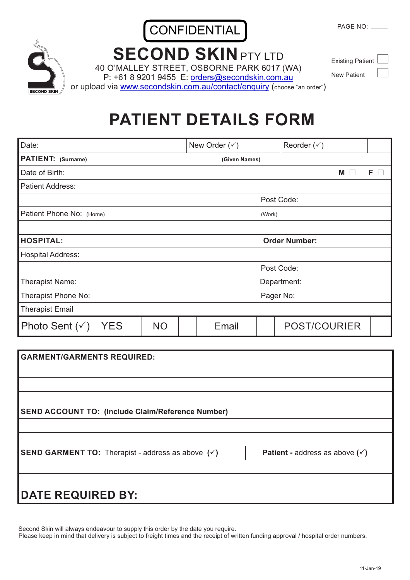# CONFIDENTIAL

### **SECOND SKINPTY LTD** 40 O'MALLEY STREET, OSBORNE PARK 6017 (WA)

P: +61 8 9201 9455 E: orders@secondskin.com.au or upload via www.secondskin.com.au/contact/enquiry (choose "an order")

## **PATIENT DETAILS FORM**

| Date:                           |           |               | New Order $(\check{y})$ |  | Reorder $(\check{v})$ |   |            |
|---------------------------------|-----------|---------------|-------------------------|--|-----------------------|---|------------|
| PATIENT: (Surname)              |           | (Given Names) |                         |  |                       |   |            |
| Date of Birth:                  |           |               |                         |  |                       | M | $F \ \Box$ |
| <b>Patient Address:</b>         |           |               |                         |  |                       |   |            |
|                                 |           |               |                         |  | Post Code:            |   |            |
| Patient Phone No: (Home)        |           | (Work)        |                         |  |                       |   |            |
|                                 |           |               |                         |  |                       |   |            |
| <b>HOSPITAL:</b>                |           |               |                         |  | <b>Order Number:</b>  |   |            |
| <b>Hospital Address:</b>        |           |               |                         |  |                       |   |            |
|                                 |           | Post Code:    |                         |  |                       |   |            |
| Therapist Name:                 |           | Department:   |                         |  |                       |   |            |
| Therapist Phone No:             |           | Pager No:     |                         |  |                       |   |            |
| <b>Therapist Email</b>          |           |               |                         |  |                       |   |            |
| YES<br>Photo Sent $(\check{v})$ | <b>NO</b> |               | Email                   |  | <b>POST/COURIER</b>   |   |            |

| <b>GARMENT/GARMENTS REQUIRED:</b>                                   |                                                             |
|---------------------------------------------------------------------|-------------------------------------------------------------|
|                                                                     |                                                             |
|                                                                     |                                                             |
| <b>SEND ACCOUNT TO: (Include Claim/Reference Number)</b>            |                                                             |
|                                                                     |                                                             |
| <b>SEND GARMENT TO:</b> Therapist - address as above $(\checkmark)$ | <b>Patient - address as above (<math>\checkmark</math>)</b> |
|                                                                     |                                                             |
| <b>DATE REQUIRED BY:</b>                                            |                                                             |

Second Skin will always endeavour to supply this order by the date you require.

Please keep in mind that delivery is subject to freight times and the receipt of written funding approval / hospital order numbers.



Existing Patient

New Patient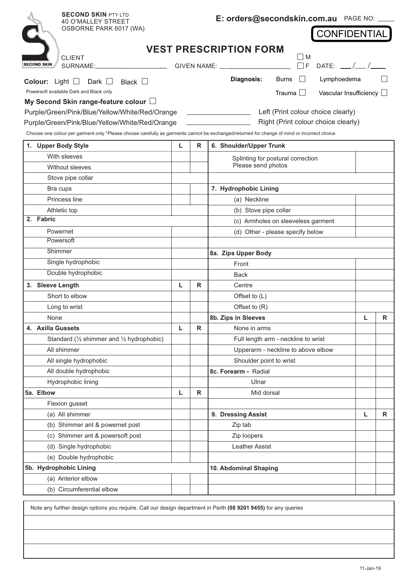| <b>SECOND SKIN PTY LTD</b><br>40 O'MALLEY STREET                                                                                            |   |   | E: orders@secondskin.com.au PAGE NO: _                      |   |              |
|---------------------------------------------------------------------------------------------------------------------------------------------|---|---|-------------------------------------------------------------|---|--------------|
| OSBORNE PARK 6017 (WA)                                                                                                                      |   |   | <b>CONFIDENTIAL</b>                                         |   |              |
| <b>CLIENT</b><br><b>SECOND SKIN</b><br>SURNAME:                                                                                             |   |   | <b>VEST PRESCRIPTION FORM</b><br>M<br>$\mathsf{F}$<br>DATE: |   |              |
|                                                                                                                                             |   |   | Diagnosis:<br>Lymphoedema<br><b>Burns</b>                   |   |              |
| <b>Colour:</b> Light $\Box$<br>Dark $\Box$<br>Black $\Box$                                                                                  |   |   |                                                             |   |              |
| Powersoft available Dark and Black only                                                                                                     |   |   | Vascular Insufficiency<br>Trauma                            |   |              |
| My Second Skin range-feature colour Langlet<br>Purple/Green/Pink/Blue/Yellow/White/Red/Orange                                               |   |   | Left (Print colour choice clearly)                          |   |              |
| Purple/Green/Pink/Blue/Yellow/White/Red/Orange                                                                                              |   |   | Right (Print colour choice clearly)                         |   |              |
| Choose one colour per garment only *Please choose carefully as garments cannot be exchanged/returned for change of mind or incorrect choice |   |   |                                                             |   |              |
| 1. Upper Body Style                                                                                                                         | L | R | 6. Shoulder/Upper Trunk                                     |   |              |
| With sleeves                                                                                                                                |   |   |                                                             |   |              |
| Without sleeves                                                                                                                             |   |   | Splinting for postural correction<br>Please send photos     |   |              |
| Stove pipe collar                                                                                                                           |   |   |                                                             |   |              |
| Bra cups                                                                                                                                    |   |   | 7. Hydrophobic Lining                                       |   |              |
| Princess line                                                                                                                               |   |   | (a) Neckline                                                |   |              |
| Athletic top                                                                                                                                |   |   | (b) Stove pipe collar                                       |   |              |
| 2. Fabric                                                                                                                                   |   |   | (c) Armholes on sleeveless garment                          |   |              |
| Powernet                                                                                                                                    |   |   | (d) Other - please specify below                            |   |              |
| Powersoft                                                                                                                                   |   |   |                                                             |   |              |
| Shimmer                                                                                                                                     |   |   | 8a. Zips Upper Body                                         |   |              |
| Single hydrophobic                                                                                                                          |   |   | Front                                                       |   |              |
| Double hydrophobic                                                                                                                          |   |   | <b>Back</b>                                                 |   |              |
| 3. Sleeve Length                                                                                                                            | L | R | Centre                                                      |   |              |
| Short to elbow                                                                                                                              |   |   | Offset to $(L)$                                             |   |              |
| Long to wrist                                                                                                                               |   |   | Offset to $(R)$                                             |   |              |
| None                                                                                                                                        |   |   | 8b. Zips in Sleeves                                         | L | $\mathsf R$  |
| 4. Axilla Gussets                                                                                                                           | L | R | None in arms                                                |   |              |
| Standard (1/2 shimmer and 1/2 hydrophobic)                                                                                                  |   |   | Full length arm - neckline to wrist                         |   |              |
| All shimmer                                                                                                                                 |   |   | Upperarm - neckline to above elbow                          |   |              |
| All single hydrophobic                                                                                                                      |   |   | Shoulder point to wrist                                     |   |              |
| All double hydrophobic                                                                                                                      |   |   | 8c. Forearm - Radial                                        |   |              |
| Hydrophobic lining                                                                                                                          |   |   | Ulnar                                                       |   |              |
| 5a. Elbow                                                                                                                                   | L | R | Mid dorsal                                                  |   |              |
| Flexion gusset                                                                                                                              |   |   |                                                             |   |              |
| (a) All shimmer                                                                                                                             |   |   | 9. Dressing Assist                                          | L | $\mathsf{R}$ |
| (b) Shimmer ant & powernet post                                                                                                             |   |   | Zip tab                                                     |   |              |
| (c) Shimmer ant & powersoft post                                                                                                            |   |   | Zip loopers                                                 |   |              |
| (d) Single hydrophobic                                                                                                                      |   |   | <b>Leather Assist</b>                                       |   |              |
| (e) Double hydrophobic                                                                                                                      |   |   |                                                             |   |              |
| 5b. Hydrophobic Lining                                                                                                                      |   |   | 10. Abdominal Shaping                                       |   |              |
| (a) Anterior elbow                                                                                                                          |   |   |                                                             |   |              |
| (b) Circumferential elbow                                                                                                                   |   |   |                                                             |   |              |

Note any further design options you require. Call our design department in Perth **(08 9201 9455)** for any queries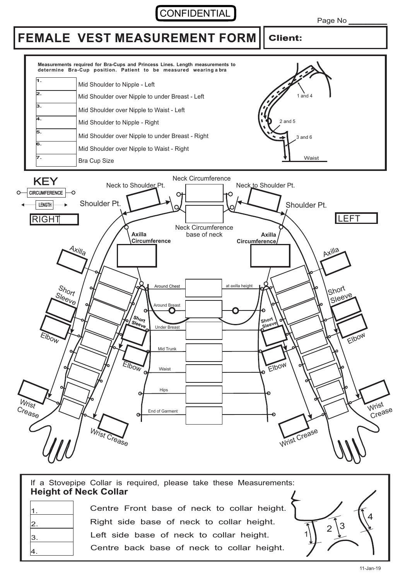

## **FEMALE VEST MEASUREMENT FORM**

**Client:**



| 2                |  |
|------------------|--|
| 3.               |  |
| $\overline{4}$ . |  |
|                  |  |

 Right side base of neck to collar height. Left side base of neck to collar height. Centre back base of neck to collar height.

2

3

1